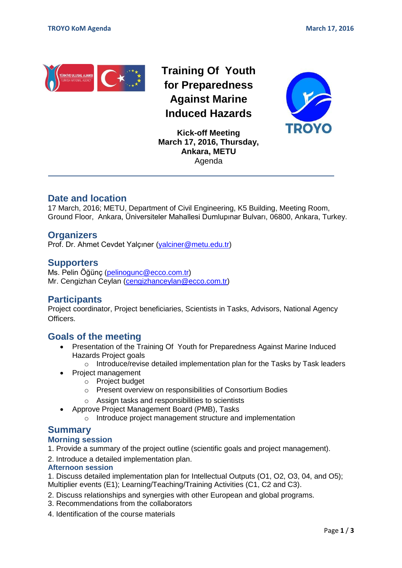

**Training Of Youth for Preparedness Against Marine Induced Hazards**



**Kick-off Meeting March 17, 2016, Thursday, Ankara, METU** Agenda

# **Date and location**

17 March, 2016; METU, Department of Civil Engineering, K5 Building, Meeting Room, Ground Floor, Ankara, Üniversiteler Mahallesi Dumlupınar Bulvarı, 06800, Ankara, Turkey.

### **Organizers**

Prof. Dr. Ahmet Cevdet Yalçıner [\(yalciner@metu.edu.tr\)](mailto:yalciner@metu.edu.tr)

### **Supporters**

Ms. Pelin Öğünç [\(pelinogunc@ecco.com.tr\)](mailto:pelinogunc@ecco.com.tr) Mr. Cengizhan Ceylan [\(cengizhanceylan@ecco.com.tr\)](mailto:cengizhanceylan@ecco.com.tr)

## **Participants**

Project coordinator, Project beneficiaries, Scientists in Tasks, Advisors, National Agency **Officers** 

# **Goals of the meeting**

- Presentation of the Training Of Youth for Preparedness Against Marine Induced Hazards Project goals
	- $\circ$  Introduce/revise detailed implementation plan for the Tasks by Task leaders
- Project management
	- o Project budget
	- o Present overview on responsibilities of Consortium Bodies
	- o Assign tasks and responsibilities to scientists
- Approve Project Management Board (PMB), Tasks
	- o Introduce project management structure and implementation

## **Summary**

#### **Morning session**

1. Provide a summary of the project outline (scientific goals and project management).

2. Introduce a detailed implementation plan.

#### **Afternoon session**

1. Discuss detailed implementation plan for Intellectual Outputs (O1, O2, O3, 04, and O5); Multiplier events (E1); Learning/Teaching/Training Activities (C1, C2 and C3).

- 2. Discuss relationships and synergies with other European and global programs.
- 3. Recommendations from the collaborators
- 4. Identification of the course materials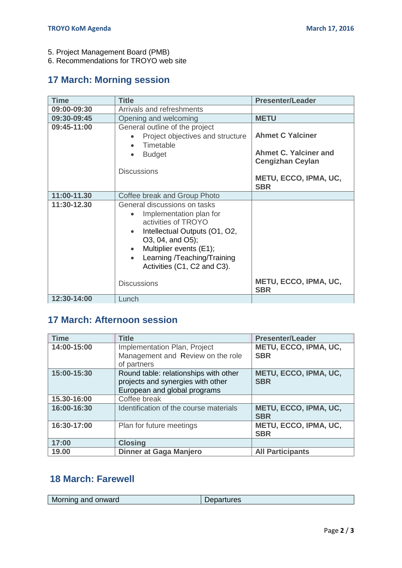5. Project Management Board (PMB)

6. Recommendations for TROYO web site

# **17 March: Morning session**

| <b>Time</b>        | <b>Title</b>                                                                                                                                                                                                                              | <b>Presenter/Leader</b>                                                     |  |
|--------------------|-------------------------------------------------------------------------------------------------------------------------------------------------------------------------------------------------------------------------------------------|-----------------------------------------------------------------------------|--|
| 09:00-09:30        | Arrivals and refreshments                                                                                                                                                                                                                 |                                                                             |  |
| 09:30-09:45        | Opening and welcoming                                                                                                                                                                                                                     | <b>METU</b>                                                                 |  |
| 09:45-11:00        | General outline of the project<br>Project objectives and structure<br>Timetable<br><b>Budget</b><br><b>Discussions</b>                                                                                                                    | <b>Ahmet C Yalciner</b><br>Ahmet C. Yalciner and<br><b>Cengizhan Ceylan</b> |  |
|                    |                                                                                                                                                                                                                                           | METU, ECCO, IPMA, UC,<br><b>SBR</b>                                         |  |
| 11:00-11.30        | Coffee break and Group Photo                                                                                                                                                                                                              |                                                                             |  |
| 11:30-12.30        | General discussions on tasks<br>Implementation plan for<br>activities of TROYO<br>Intellectual Outputs (O1, O2,<br>O3, 04, and O5);<br>Multiplier events (E1);<br>Learning /Teaching/Training<br>$\bullet$<br>Activities (C1, C2 and C3). | <b>METU, ECCO, IPMA, UC,</b>                                                |  |
| <b>Discussions</b> |                                                                                                                                                                                                                                           | <b>SBR</b>                                                                  |  |
| 12:30-14:00        | Lunch                                                                                                                                                                                                                                     |                                                                             |  |

# **17 March: Afternoon session**

| <b>Time</b> | <b>Title</b>                                                                                               | <b>Presenter/Leader</b>                    |  |
|-------------|------------------------------------------------------------------------------------------------------------|--------------------------------------------|--|
| 14:00-15:00 | Implementation Plan, Project<br>Management and Review on the role<br>of partners                           | <b>METU, ECCO, IPMA, UC,</b><br><b>SBR</b> |  |
| 15:00-15:30 | Round table: relationships with other<br>projects and synergies with other<br>European and global programs | <b>METU, ECCO, IPMA, UC,</b><br><b>SBR</b> |  |
| 15.30-16:00 | Coffee break                                                                                               |                                            |  |
| 16:00-16:30 | Identification of the course materials                                                                     | <b>METU, ECCO, IPMA, UC,</b><br><b>SBR</b> |  |
| 16:30-17:00 | Plan for future meetings                                                                                   | METU, ECCO, IPMA, UC,<br><b>SBR</b>        |  |
| 17:00       | <b>Closing</b>                                                                                             |                                            |  |
| 19.00       | Dinner at Gaga Manjero                                                                                     | <b>All Participants</b>                    |  |

# **18 March: Farewell**

| Morning and onward | Departures |
|--------------------|------------|
|--------------------|------------|